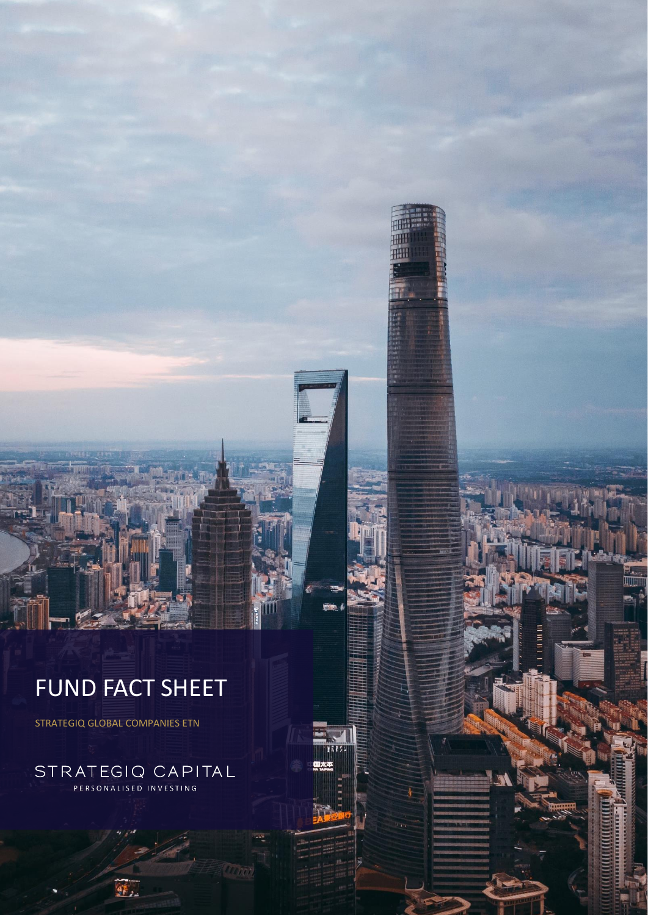# FUND FACT SHEET

**HHH** 珊 | 把田

Ħ

STRATEGIQ GLOBAL COMPANIES ETN

STRATEGIQ CAPITAL PERSONALISED INVESTING

鲆.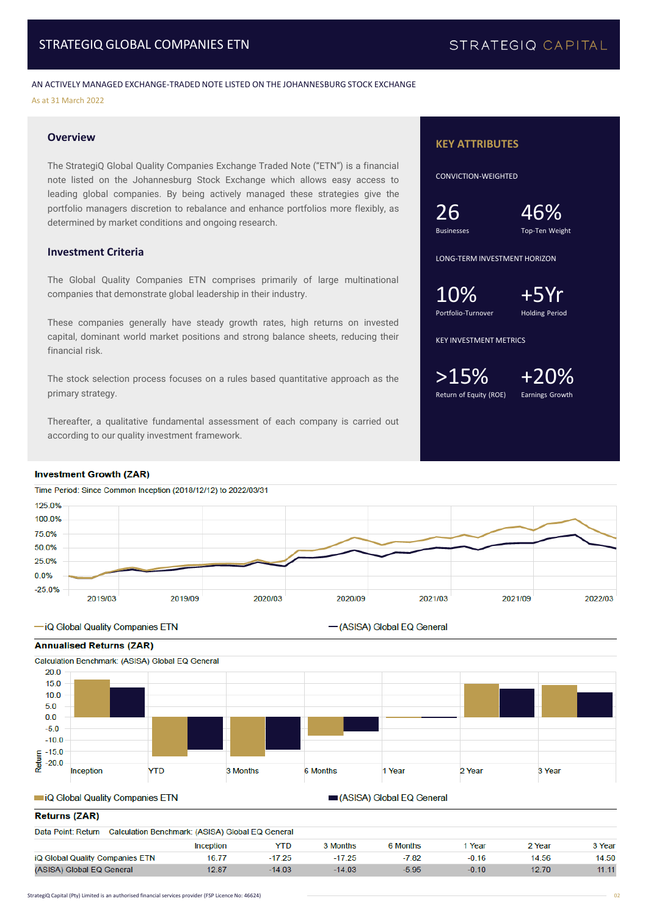## STRATEGIQ CAPITAL

AN ACTIVELY MANAGED EXCHANGE-TRADED NOTE LISTED ON THE JOHANNESBURG STOCK EXCHANGE As at 31 March 2022

#### **Overview**

The StrategiQ Global Quality Companies Exchange Traded Note ("ETN") is a financial note listed on the Johannesburg Stock Exchange which allows easy access to leading global companies. By being actively managed these strategies give the portfolio managers discretion to rebalance and enhance portfolios more flexibly, as determined by market conditions and ongoing research.

#### **Investment Criteria**

The Global Quality Companies ETN comprises primarily of large multinational companies that demonstrate global leadership in their industry.

These companies generally have steady growth rates, high returns on invested capital, dominant world market positions and strong balance sheets, reducing their financial risk.

The stock selection process focuses on a rules based quantitative approach as the primary strategy.

Thereafter, a qualitative fundamental assessment of each company is carried out according to our quality investment framework.

#### **Investment Growth (ZAR)**

50.0% 25.0%  $0.0%$  $-25.0%$ 

Time Period: Since Common Inception (2018/12/12) to 2022/03/31 125.0% 100.0% 75.0%

2020/03

#### -iQ Global Quality Companies ETN

2019/03



2019/09



2020/09

#### iQ Global Quality Companies ETN

ASISA) Global EQ General

-(ASISA) Global EQ General

#### Returns (ZAR)

| Data Point: Return<br>Calculation Benchmark: (ASISA) Global EQ General |           |          |          |          |         |        |        |  |  |
|------------------------------------------------------------------------|-----------|----------|----------|----------|---------|--------|--------|--|--|
|                                                                        | Inception | YTD      | 3 Months | 6 Months | Year    | 2 Year | 3 Year |  |  |
| iQ Global Quality Companies ETN                                        | 16.77     | $-17.25$ | $-17.25$ | $-7.82$  | $-0.16$ | 14.56  | 14.50  |  |  |
| (ASISA) Global EQ General                                              | 12.87     | $-14.03$ | $-14.03$ | -5.95    | $-0.10$ | 12.70  | 11.11  |  |  |

#### **KEY ATTRIBUTES**

CONVICTION-WEIGHTED

Businesses Top-Ten Weight

26 46%

LONG-TERM INVESTMENT HORIZON

 $10\%$ <br>Portfolio-Turnover

Holding Period

KEY INVESTMENT METRICS

 $>15\%$  +20% Return of Equity (ROE) Earnings Growth

2021/03

2021/09

2022/03